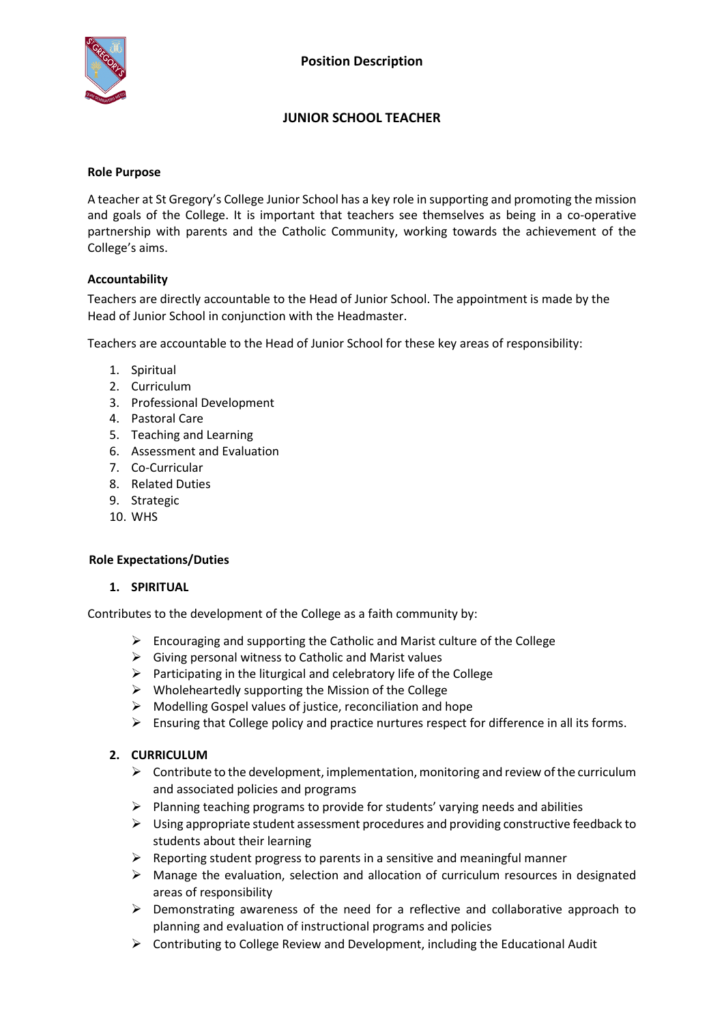

# **JUNIOR SCHOOL TEACHER**

#### **Role Purpose**

A teacher at St Gregory's College Junior School has a key role in supporting and promoting the mission and goals of the College. It is important that teachers see themselves as being in a co-operative partnership with parents and the Catholic Community, working towards the achievement of the College's aims.

#### **Accountability**

Teachers are directly accountable to the Head of Junior School. The appointment is made by the Head of Junior School in conjunction with the Headmaster.

Teachers are accountable to the Head of Junior School for these key areas of responsibility:

- 1. Spiritual
- 2. Curriculum
- 3. Professional Development
- 4. Pastoral Care
- 5. Teaching and Learning
- 6. Assessment and Evaluation
- 7. Co-Curricular
- 8. Related Duties
- 9. Strategic
- 10. WHS

#### **Role Expectations/Duties**

#### **1. SPIRITUAL**

Contributes to the development of the College as a faith community by:

- $\triangleright$  Encouraging and supporting the Catholic and Marist culture of the College
- $\triangleright$  Giving personal witness to Catholic and Marist values
- $\triangleright$  Participating in the liturgical and celebratory life of the College
- $\triangleright$  Wholeheartedly supporting the Mission of the College
- $\triangleright$  Modelling Gospel values of justice, reconciliation and hope
- $\triangleright$  Ensuring that College policy and practice nurtures respect for difference in all its forms.

#### **2. CURRICULUM**

- $\triangleright$  Contribute to the development, implementation, monitoring and review of the curriculum and associated policies and programs
- $\triangleright$  Planning teaching programs to provide for students' varying needs and abilities
- $\triangleright$  Using appropriate student assessment procedures and providing constructive feedback to students about their learning
- $\triangleright$  Reporting student progress to parents in a sensitive and meaningful manner
- $\triangleright$  Manage the evaluation, selection and allocation of curriculum resources in designated areas of responsibility
- $\triangleright$  Demonstrating awareness of the need for a reflective and collaborative approach to planning and evaluation of instructional programs and policies
- $\triangleright$  Contributing to College Review and Development, including the Educational Audit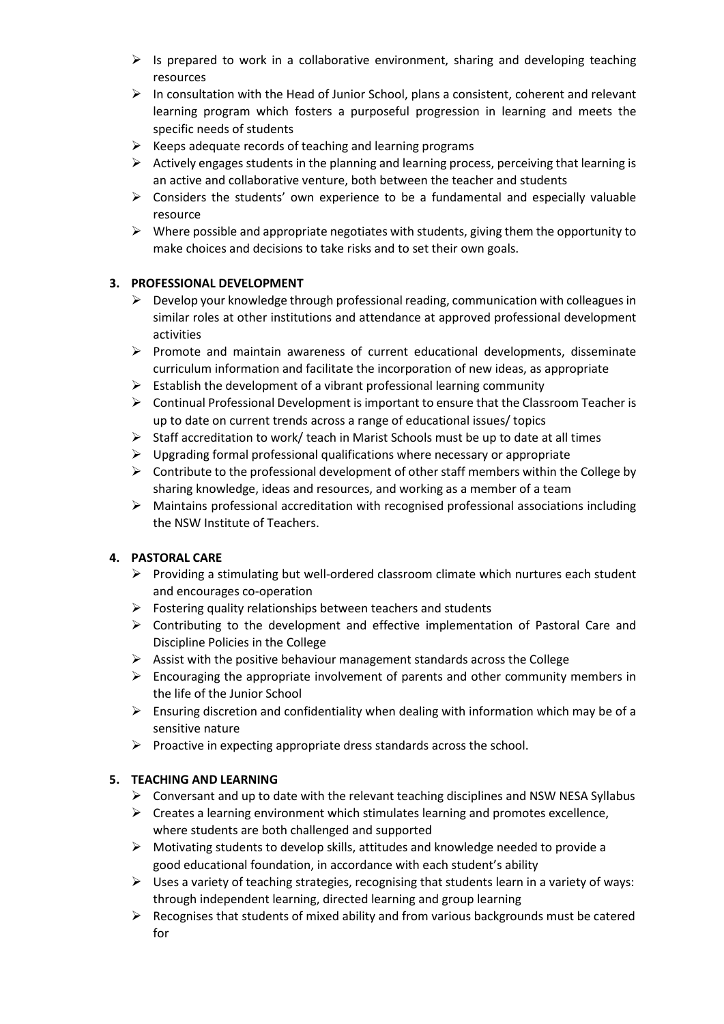- $\triangleright$  Is prepared to work in a collaborative environment, sharing and developing teaching resources
- $\triangleright$  In consultation with the Head of Junior School, plans a consistent, coherent and relevant learning program which fosters a purposeful progression in learning and meets the specific needs of students
- $\triangleright$  Keeps adequate records of teaching and learning programs
- $\triangleright$  Actively engages students in the planning and learning process, perceiving that learning is an active and collaborative venture, both between the teacher and students
- $\triangleright$  Considers the students' own experience to be a fundamental and especially valuable resource
- $\triangleright$  Where possible and appropriate negotiates with students, giving them the opportunity to make choices and decisions to take risks and to set their own goals.

### **3. PROFESSIONAL DEVELOPMENT**

- $\triangleright$  Develop your knowledge through professional reading, communication with colleagues in similar roles at other institutions and attendance at approved professional development activities
- $\triangleright$  Promote and maintain awareness of current educational developments, disseminate curriculum information and facilitate the incorporation of new ideas, as appropriate
- $\triangleright$  Establish the development of a vibrant professional learning community
- $\triangleright$  Continual Professional Development is important to ensure that the Classroom Teacher is up to date on current trends across a range of educational issues/ topics
- $\triangleright$  Staff accreditation to work/ teach in Marist Schools must be up to date at all times
- $\triangleright$  Upgrading formal professional qualifications where necessary or appropriate
- $\triangleright$  Contribute to the professional development of other staff members within the College by sharing knowledge, ideas and resources, and working as a member of a team
- $\triangleright$  Maintains professional accreditation with recognised professional associations including the NSW Institute of Teachers.

### **4. PASTORAL CARE**

- $\triangleright$  Providing a stimulating but well-ordered classroom climate which nurtures each student and encourages co-operation
- $\triangleright$  Fostering quality relationships between teachers and students
- $\triangleright$  Contributing to the development and effective implementation of Pastoral Care and Discipline Policies in the College
- $\triangleright$  Assist with the positive behaviour management standards across the College
- $\triangleright$  Encouraging the appropriate involvement of parents and other community members in the life of the Junior School
- $\triangleright$  Ensuring discretion and confidentiality when dealing with information which may be of a sensitive nature
- $\triangleright$  Proactive in expecting appropriate dress standards across the school.

### **5. TEACHING AND LEARNING**

- $\triangleright$  Conversant and up to date with the relevant teaching disciplines and NSW NESA Syllabus
- $\triangleright$  Creates a learning environment which stimulates learning and promotes excellence, where students are both challenged and supported
- $\triangleright$  Motivating students to develop skills, attitudes and knowledge needed to provide a good educational foundation, in accordance with each student's ability
- $\triangleright$  Uses a variety of teaching strategies, recognising that students learn in a variety of ways: through independent learning, directed learning and group learning
- $\triangleright$  Recognises that students of mixed ability and from various backgrounds must be catered for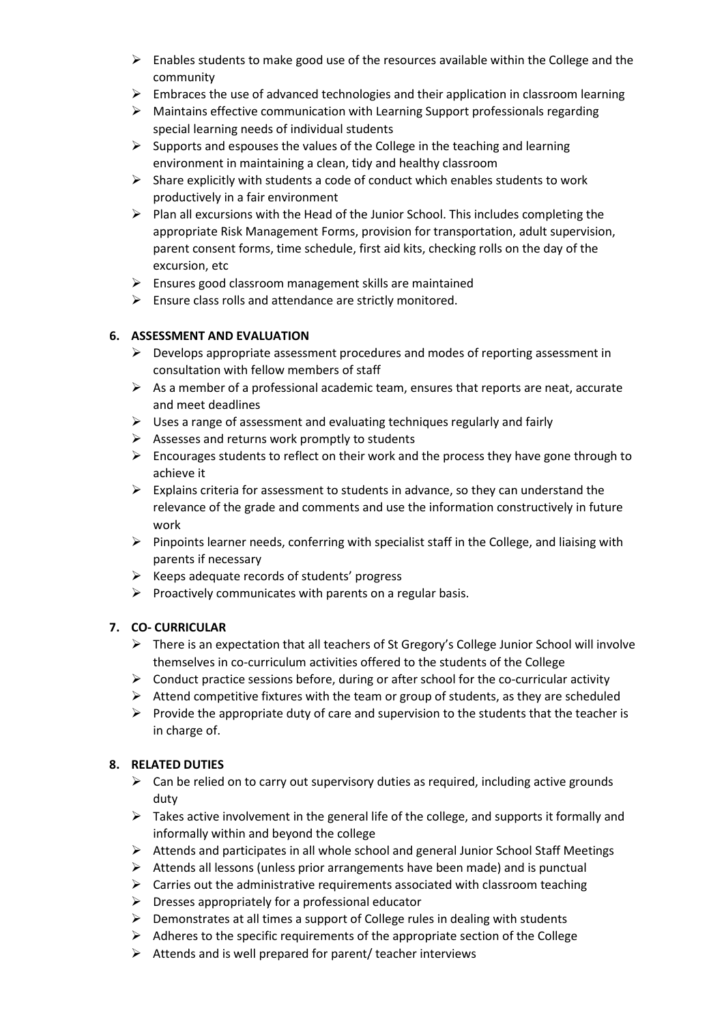- $\triangleright$  Enables students to make good use of the resources available within the College and the community
- $\triangleright$  Embraces the use of advanced technologies and their application in classroom learning
- $\triangleright$  Maintains effective communication with Learning Support professionals regarding special learning needs of individual students
- $\triangleright$  Supports and espouses the values of the College in the teaching and learning environment in maintaining a clean, tidy and healthy classroom
- $\triangleright$  Share explicitly with students a code of conduct which enables students to work productively in a fair environment
- $\triangleright$  Plan all excursions with the Head of the Junior School. This includes completing the appropriate Risk Management Forms, provision for transportation, adult supervision, parent consent forms, time schedule, first aid kits, checking rolls on the day of the excursion, etc
- $\triangleright$  Ensures good classroom management skills are maintained
- $\triangleright$  Ensure class rolls and attendance are strictly monitored.

## **6. ASSESSMENT AND EVALUATION**

- $\triangleright$  Develops appropriate assessment procedures and modes of reporting assessment in consultation with fellow members of staff
- $\triangleright$  As a member of a professional academic team, ensures that reports are neat, accurate and meet deadlines
- $\triangleright$  Uses a range of assessment and evaluating techniques regularly and fairly
- $\triangleright$  Assesses and returns work promptly to students
- $\triangleright$  Encourages students to reflect on their work and the process they have gone through to achieve it
- $\triangleright$  Explains criteria for assessment to students in advance, so they can understand the relevance of the grade and comments and use the information constructively in future work
- $\triangleright$  Pinpoints learner needs, conferring with specialist staff in the College, and liaising with parents if necessary
- $\triangleright$  Keeps adequate records of students' progress
- $\triangleright$  Proactively communicates with parents on a regular basis.

# **7. CO- CURRICULAR**

- $\triangleright$  There is an expectation that all teachers of St Gregory's College Junior School will involve themselves in co-curriculum activities offered to the students of the College
- $\triangleright$  Conduct practice sessions before, during or after school for the co-curricular activity
- $\triangleright$  Attend competitive fixtures with the team or group of students, as they are scheduled
- $\triangleright$  Provide the appropriate duty of care and supervision to the students that the teacher is in charge of.

# **8. RELATED DUTIES**

- $\triangleright$  Can be relied on to carry out supervisory duties as required, including active grounds duty
- $\triangleright$  Takes active involvement in the general life of the college, and supports it formally and informally within and beyond the college
- $\triangleright$  Attends and participates in all whole school and general Junior School Staff Meetings
- $\triangleright$  Attends all lessons (unless prior arrangements have been made) and is punctual
- $\triangleright$  Carries out the administrative requirements associated with classroom teaching
- $\triangleright$  Dresses appropriately for a professional educator
- $\triangleright$  Demonstrates at all times a support of College rules in dealing with students
- $\triangleright$  Adheres to the specific requirements of the appropriate section of the College
- $\triangleright$  Attends and is well prepared for parent/ teacher interviews